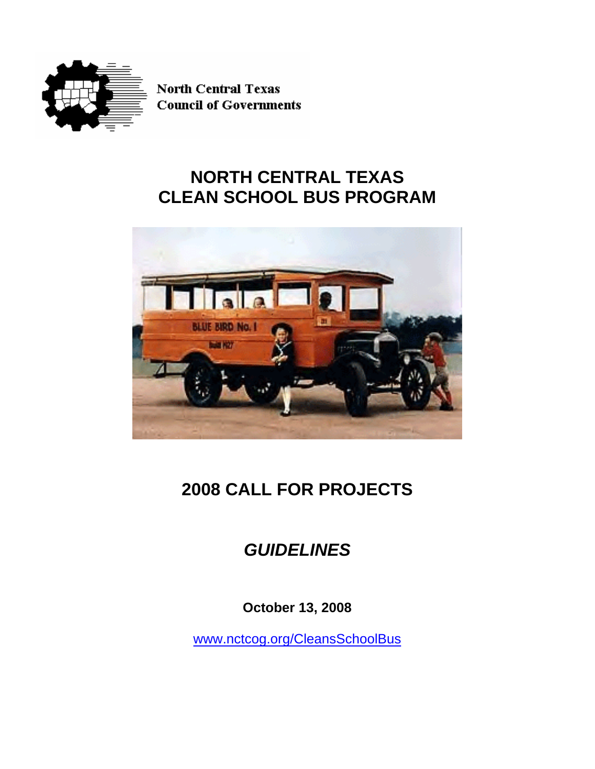

**North Central Texas Council of Governments** 

# **NORTH CENTRAL TEXAS CLEAN SCHOOL BUS PROGRAM**



# **2008 CALL FOR PROJECTS**

# *GUIDELINES*

**October 13, 2008** 

[www.nctcog.org/CleansSchoolBus](http://www.nctcog.org/CleansSchoolBus)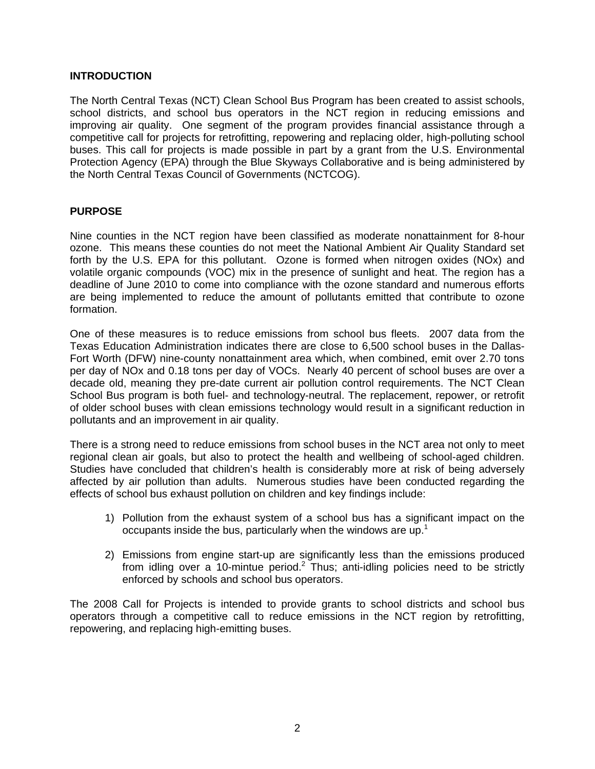### **INTRODUCTION**

The North Central Texas (NCT) Clean School Bus Program has been created to assist schools, school districts, and school bus operators in the NCT region in reducing emissions and improving air quality. One segment of the program provides financial assistance through a competitive call for projects for retrofitting, repowering and replacing older, high-polluting school buses. This call for projects is made possible in part by a grant from the U.S. Environmental Protection Agency (EPA) through the Blue Skyways Collaborative and is being administered by the North Central Texas Council of Governments (NCTCOG).

### **PURPOSE**

Nine counties in the NCT region have been classified as moderate nonattainment for 8-hour ozone. This means these counties do not meet the National Ambient Air Quality Standard set forth by the U.S. EPA for this pollutant. Ozone is formed when nitrogen oxides (NOx) and volatile organic compounds (VOC) mix in the presence of sunlight and heat. The region has a deadline of June 2010 to come into compliance with the ozone standard and numerous efforts are being implemented to reduce the amount of pollutants emitted that contribute to ozone formation.

One of these measures is to reduce emissions from school bus fleets. 2007 data from the Texas Education Administration indicates there are close to 6,500 school buses in the Dallas-Fort Worth (DFW) nine-county nonattainment area which, when combined, emit over 2.70 tons per day of NOx and 0.18 tons per day of VOCs. Nearly 40 percent of school buses are over a decade old, meaning they pre-date current air pollution control requirements. The NCT Clean School Bus program is both fuel- and technology-neutral. The replacement, repower, or retrofit of older school buses with clean emissions technology would result in a significant reduction in pollutants and an improvement in air quality.

There is a strong need to reduce emissions from school buses in the NCT area not only to meet regional clean air goals, but also to protect the health and wellbeing of school-aged children. Studies have concluded that children's health is considerably more at risk of being adversely affected by air pollution than adults. Numerous studies have been conducted regarding the effects of school bus exhaust pollution on children and key findings include:

- 1) Pollution from the exhaust system of a school bus has a significant impact on the occupants inside the bus, particularly when the windows are up.<sup>1</sup>
- 2) Emissions from engine start-up are significantly less than the emissions produced from idling over a 10-mintue period.<sup>2</sup> Thus; anti-idling policies need to be strictly enforced by schools and school bus operators.

The 2008 Call for Projects is intended to provide grants to school districts and school bus operators through a competitive call to reduce emissions in the NCT region by retrofitting, repowering, and replacing high-emitting buses.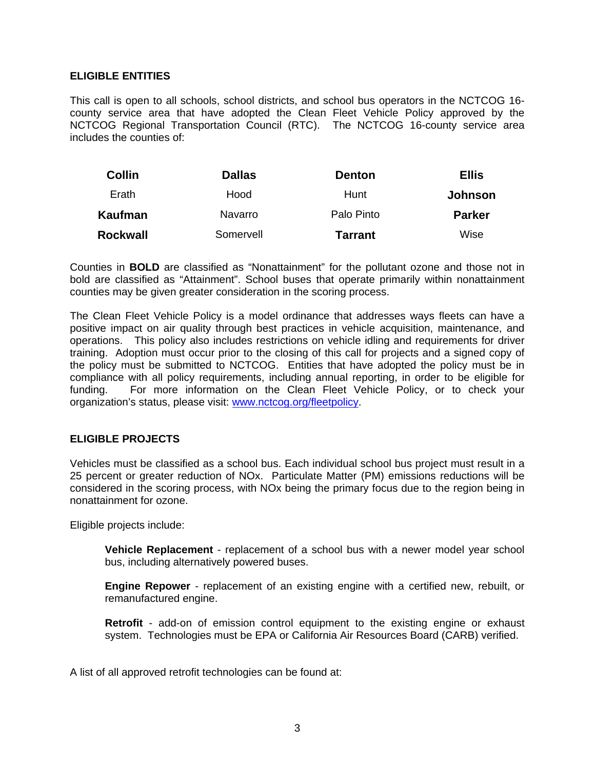#### **ELIGIBLE ENTITIES**

This call is open to all schools, school districts, and school bus operators in the NCTCOG 16 county service area that have adopted the Clean Fleet Vehicle Policy approved by the NCTCOG Regional Transportation Council (RTC). The NCTCOG 16-county service area includes the counties of:

| <b>Collin</b> | <b>Dallas</b> | <b>Denton</b>  | <b>Ellis</b>   |
|---------------|---------------|----------------|----------------|
| Erath         | Hood          | Hunt           | <b>Johnson</b> |
| Kaufman       | Navarro       | Palo Pinto     | <b>Parker</b>  |
| Rockwall      | Somervell     | <b>Tarrant</b> | Wise           |

Counties in **BOLD** are classified as "Nonattainment" for the pollutant ozone and those not in bold are classified as "Attainment". School buses that operate primarily within nonattainment counties may be given greater consideration in the scoring process.

The Clean Fleet Vehicle Policy is a model ordinance that addresses ways fleets can have a positive impact on air quality through best practices in vehicle acquisition, maintenance, and operations. This policy also includes restrictions on vehicle idling and requirements for driver training. Adoption must occur prior to the closing of this call for projects and a signed copy of the policy must be submitted to NCTCOG. Entities that have adopted the policy must be in compliance with all policy requirements, including annual reporting, in order to be eligible for funding. For more information on the Clean Fleet Vehicle Policy, or to check your organization's status, please visit: [www.nctcog.org/fleetpolicy](http://www.nctcog.org/fleetpolicy).

### **ELIGIBLE PROJECTS**

Vehicles must be classified as a school bus. Each individual school bus project must result in a 25 percent or greater reduction of NOx. Particulate Matter (PM) emissions reductions will be considered in the scoring process, with NOx being the primary focus due to the region being in nonattainment for ozone.

Eligible projects include:

**Vehicle Replacement** - replacement of a school bus with a newer model year school bus, including alternatively powered buses.

**Engine Repower** - replacement of an existing engine with a certified new, rebuilt, or remanufactured engine.

**Retrofit** - add-on of emission control equipment to the existing engine or exhaust system. Technologies must be EPA or California Air Resources Board (CARB) verified.

A list of all approved retrofit technologies can be found at: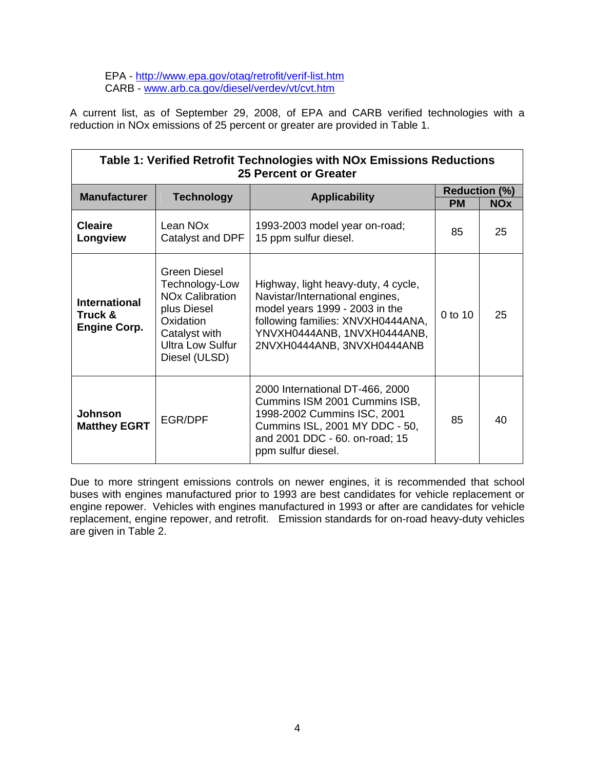EPA - <http://www.epa.gov/otaq/retrofit/verif-list.htm> CARB - [www.arb.ca.gov/diesel/verdev/vt/cvt.htm](http://www.arb.ca.gov/diesel/verdev/vt/cvt.htm)

A current list, as of September 29, 2008, of EPA and CARB verified technologies with a reduction in NOx emissions of 25 percent or greater are provided in Table 1.

| Table 1: Verified Retrofit Technologies with NOx Emissions Reductions<br><b>25 Percent or Greater</b> |                                                                                                                                                   |                                                                                                                                                                                                            |           |                                    |  |  |  |
|-------------------------------------------------------------------------------------------------------|---------------------------------------------------------------------------------------------------------------------------------------------------|------------------------------------------------------------------------------------------------------------------------------------------------------------------------------------------------------------|-----------|------------------------------------|--|--|--|
| <b>Manufacturer</b>                                                                                   | <b>Technology</b>                                                                                                                                 | <b>Applicability</b>                                                                                                                                                                                       | <b>PM</b> | <b>Reduction (%)</b><br><b>NOx</b> |  |  |  |
| <b>Cleaire</b><br>Longview                                                                            | Lean NO <sub>x</sub><br>Catalyst and DPF                                                                                                          | 1993-2003 model year on-road;<br>15 ppm sulfur diesel.                                                                                                                                                     | 85        | 25                                 |  |  |  |
| <b>International</b><br>Truck &<br><b>Engine Corp.</b>                                                | Green Diesel<br>Technology-Low<br><b>NOx Calibration</b><br>plus Diesel<br>Oxidation<br>Catalyst with<br><b>Ultra Low Sulfur</b><br>Diesel (ULSD) | Highway, light heavy-duty, 4 cycle,<br>Navistar/International engines,<br>model years 1999 - 2003 in the<br>following families: XNVXH0444ANA,<br>YNVXH0444ANB, 1NVXH0444ANB,<br>2NVXH0444ANB, 3NVXH0444ANB | 0 to 10   | 25                                 |  |  |  |
| Johnson<br><b>Matthey EGRT</b>                                                                        | EGR/DPF                                                                                                                                           | 2000 International DT-466, 2000<br>Cummins ISM 2001 Cummins ISB,<br>1998-2002 Cummins ISC, 2001<br>Cummins ISL, 2001 MY DDC - 50,<br>and 2001 DDC - 60. on-road; 15<br>ppm sulfur diesel.                  | 85        | 40                                 |  |  |  |

Due to more stringent emissions controls on newer engines, it is recommended that school buses with engines manufactured prior to 1993 are best candidates for vehicle replacement or engine repower. Vehicles with engines manufactured in 1993 or after are candidates for vehicle replacement, engine repower, and retrofit. Emission standards for on-road heavy-duty vehicles are given in Table 2.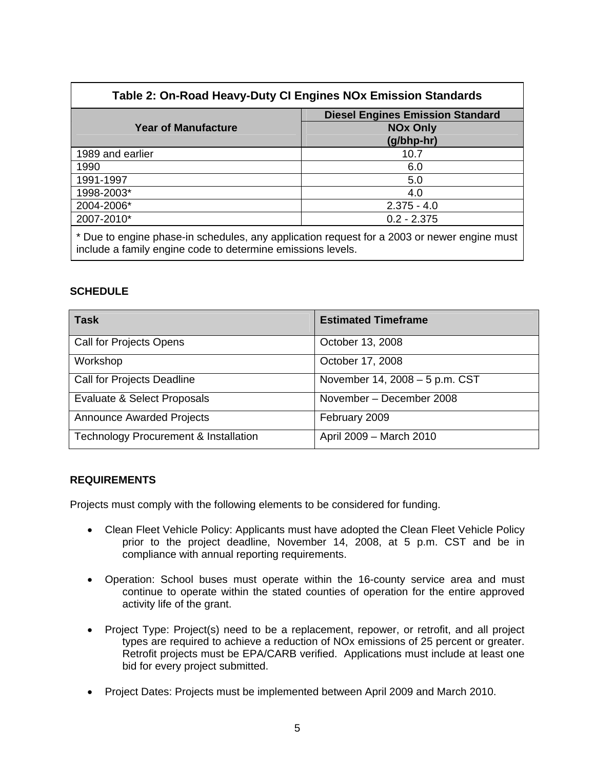| Table 2: On-Road Heavy-Duty CI Engines NOx Emission Standards                                                                                              |                                                            |  |  |
|------------------------------------------------------------------------------------------------------------------------------------------------------------|------------------------------------------------------------|--|--|
| <b>Year of Manufacture</b>                                                                                                                                 | <b>Diesel Engines Emission Standard</b><br><b>NOx Only</b> |  |  |
|                                                                                                                                                            | (g/bhp-hr)                                                 |  |  |
| 1989 and earlier                                                                                                                                           | 10.7                                                       |  |  |
| 1990                                                                                                                                                       | 6.0                                                        |  |  |
| 1991-1997                                                                                                                                                  | 5.0                                                        |  |  |
| 1998-2003*                                                                                                                                                 | 4.0                                                        |  |  |
| 2004-2006*                                                                                                                                                 | $2.375 - 4.0$                                              |  |  |
| 2007-2010*                                                                                                                                                 | $0.2 - 2.375$                                              |  |  |
| * Due to engine phase-in schedules, any application request for a 2003 or newer engine must<br>include a family engine code to determine emissions levels. |                                                            |  |  |

## **SCHEDULE**

| <b>Task</b>                                      | <b>Estimated Timeframe</b>     |
|--------------------------------------------------|--------------------------------|
| <b>Call for Projects Opens</b>                   | October 13, 2008               |
| Workshop                                         | October 17, 2008               |
| Call for Projects Deadline                       | November 14, 2008 - 5 p.m. CST |
| Evaluate & Select Proposals                      | November - December 2008       |
| <b>Announce Awarded Projects</b>                 | February 2009                  |
| <b>Technology Procurement &amp; Installation</b> | April 2009 - March 2010        |

### **REQUIREMENTS**

Projects must comply with the following elements to be considered for funding.

- Clean Fleet Vehicle Policy: Applicants must have adopted the Clean Fleet Vehicle Policy prior to the project deadline, November 14, 2008, at 5 p.m. CST and be in compliance with annual reporting requirements.
- Operation: School buses must operate within the 16-county service area and must continue to operate within the stated counties of operation for the entire approved activity life of the grant.
- Project Type: Project(s) need to be a replacement, repower, or retrofit, and all project types are required to achieve a reduction of NOx emissions of 25 percent or greater. Retrofit projects must be EPA/CARB verified. Applications must include at least one bid for every project submitted.
- Project Dates: Projects must be implemented between April 2009 and March 2010.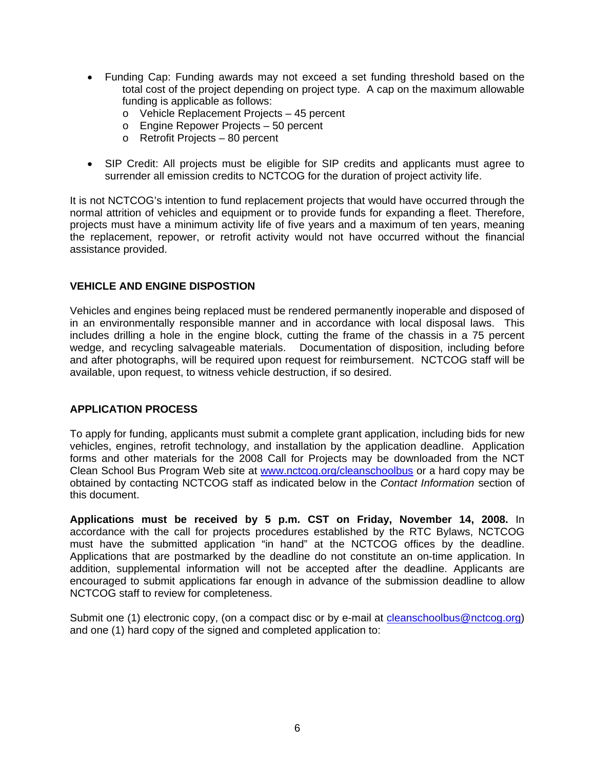- Funding Cap: Funding awards may not exceed a set funding threshold based on the total cost of the project depending on project type. A cap on the maximum allowable funding is applicable as follows:
	- o Vehicle Replacement Projects 45 percent
	- o Engine Repower Projects 50 percent
	- o Retrofit Projects 80 percent
- SIP Credit: All projects must be eligible for SIP credits and applicants must agree to surrender all emission credits to NCTCOG for the duration of project activity life.

It is not NCTCOG's intention to fund replacement projects that would have occurred through the normal attrition of vehicles and equipment or to provide funds for expanding a fleet. Therefore, projects must have a minimum activity life of five years and a maximum of ten years, meaning the replacement, repower, or retrofit activity would not have occurred without the financial assistance provided.

### **VEHICLE AND ENGINE DISPOSTION**

Vehicles and engines being replaced must be rendered permanently inoperable and disposed of in an environmentally responsible manner and in accordance with local disposal laws. This includes drilling a hole in the engine block, cutting the frame of the chassis in a 75 percent wedge, and recycling salvageable materials. Documentation of disposition, including before and after photographs, will be required upon request for reimbursement. NCTCOG staff will be available, upon request, to witness vehicle destruction, if so desired.

#### **APPLICATION PROCESS**

To apply for funding, applicants must submit a complete grant application, including bids for new vehicles, engines, retrofit technology, and installation by the application deadline. Application forms and other materials for the 2008 Call for Projects may be downloaded from the NCT Clean School Bus Program Web site at [www.nctcog.org/cleanschoolbus](http://www.nctcog.org/cleanschoolbus) or a hard copy may be obtained by contacting NCTCOG staff as indicated below in the *Contact Information* section of this document.

**[Applications](http://www.nctcog.org/trans/clean/schoolbus/index.asp?) must be received by 5 p.m. CST on Friday, November 14, 2008.** In accordance with the call for projects procedures established by the RTC Bylaws, NCTCOG must have the submitted application "in hand" at the NCTCOG offices by the deadline. Applications that are postmarked by the deadline do not constitute an on-time application. In addition, supplemental information will not be accepted after the deadline. Applicants are encouraged to submit applications far enough in advance of the submission deadline to allow NCTCOG staff to review for completeness.

Submit one (1) electronic copy, (on a compact disc or by e-mail at [cleanschoolbus@nctcog.org](mailto:cleanschoolbus@nctcog.org)) and one (1) hard copy of the signed and completed application to: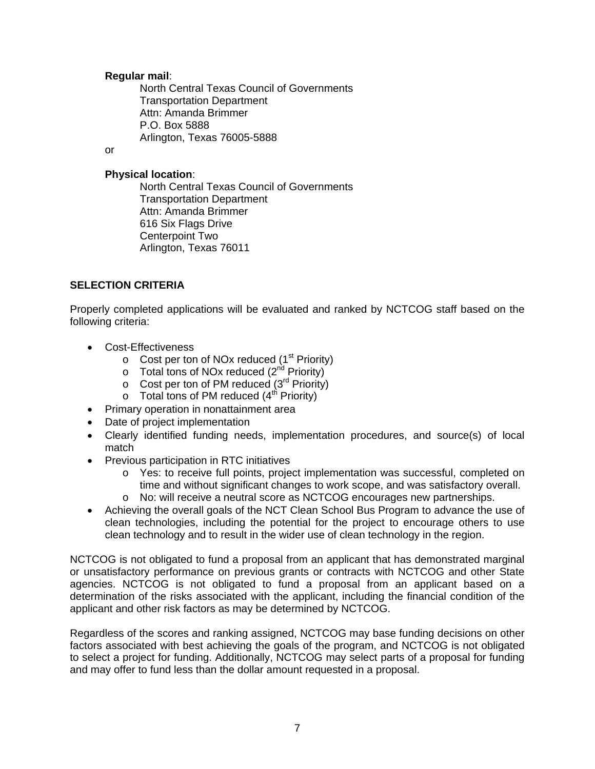#### **Regular mail**:

North Central Texas Council of Governments Transportation Department Attn: Amanda Brimmer P.O. Box 5888 Arlington, Texas 76005-5888

or

### **Physical location**:

North Central Texas Council of Governments Transportation Department Attn: Amanda Brimmer 616 Six Flags Drive Centerpoint Two Arlington, Texas 76011

# **SELECTION CRITERIA**

Properly completed applications will be evaluated and ranked by NCTCOG staff based on the following criteria:

- Cost-Effectiveness
	- $\circ$  Cost per ton of NOx reduced (1<sup>st</sup> Priority)
	- $\circ$  Total tons of NOx reduced (2<sup>nd</sup> Priority)
	- $\circ$  Cost per ton of PM reduced (3<sup>rd</sup> Priority)
	- $\circ$  Total tons of PM reduced (4<sup>th</sup> Priority)
- Primary operation in nonattainment area
- Date of project implementation
- Clearly identified funding needs, implementation procedures, and source(s) of local match
- Previous participation in RTC initiatives
	- o Yes: to receive full points, project implementation was successful, completed on time and without significant changes to work scope, and was satisfactory overall. o No: will receive a neutral score as NCTCOG encourages new partnerships.
- Achieving the overall goals of the NCT Clean School Bus Program to advance the use of clean technologies, including the potential for the project to encourage others to use clean technology and to result in the wider use of clean technology in the region.

NCTCOG is not obligated to fund a proposal from an applicant that has demonstrated marginal or unsatisfactory performance on previous grants or contracts with NCTCOG and other State agencies. NCTCOG is not obligated to fund a proposal from an applicant based on a determination of the risks associated with the applicant, including the financial condition of the applicant and other risk factors as may be determined by NCTCOG.

Regardless of the scores and ranking assigned, NCTCOG may base funding decisions on other factors associated with best achieving the goals of the program, and NCTCOG is not obligated to select a project for funding. Additionally, NCTCOG may select parts of a proposal for funding and may offer to fund less than the dollar amount requested in a proposal.